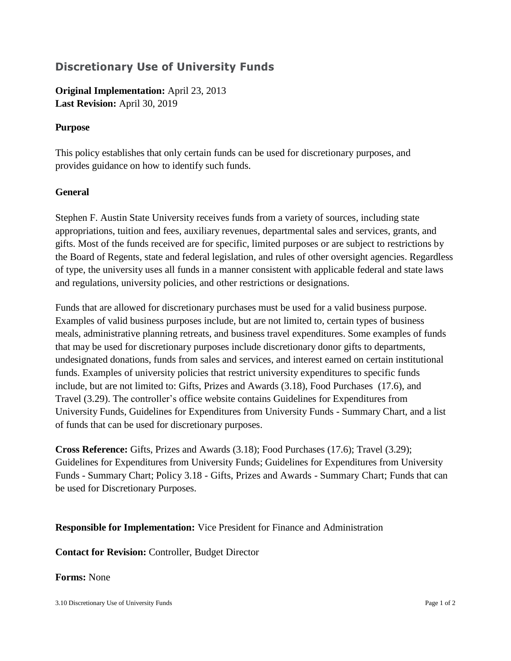# **Discretionary Use of University Funds**

**Original Implementation:** April 23, 2013 **Last Revision:** April 30, 2019

## **Purpose**

This policy establishes that only certain funds can be used for discretionary purposes, and provides guidance on how to identify such funds.

## **General**

Stephen F. Austin State University receives funds from a variety of sources, including state appropriations, tuition and fees, auxiliary revenues, departmental sales and services, grants, and gifts. Most of the funds received are for specific, limited purposes or are subject to restrictions by the Board of Regents, state and federal legislation, and rules of other oversight agencies. Regardless of type, the university uses all funds in a manner consistent with applicable federal and state laws and regulations, university policies, and other restrictions or designations.

Funds that are allowed for discretionary purchases must be used for a valid business purpose. Examples of valid business purposes include, but are not limited to, certain types of business meals, administrative planning retreats, and business travel expenditures. Some examples of funds that may be used for discretionary purposes include discretionary donor gifts to departments, undesignated donations, funds from sales and services, and interest earned on certain institutional funds. Examples of university policies that restrict university expenditures to specific funds include, but are not limited to: Gifts, Prizes and Awards (3.18), Food Purchases (17.6), and Travel (3.29). The controller's office website contains Guidelines for Expenditures from University Funds, Guidelines for Expenditures from University Funds - Summary Chart, and a list of funds that can be used for discretionary purposes.

**Cross Reference:** Gifts, Prizes and Awards (3.18); Food Purchases (17.6); Travel (3.29); Guidelines for Expenditures from University Funds; Guidelines for Expenditures from University Funds - Summary Chart; Policy 3.18 - Gifts, Prizes and Awards - Summary Chart; Funds that can be used for Discretionary Purposes.

### **Responsible for Implementation:** Vice President for Finance and Administration

**Contact for Revision:** Controller, Budget Director

### **Forms:** None